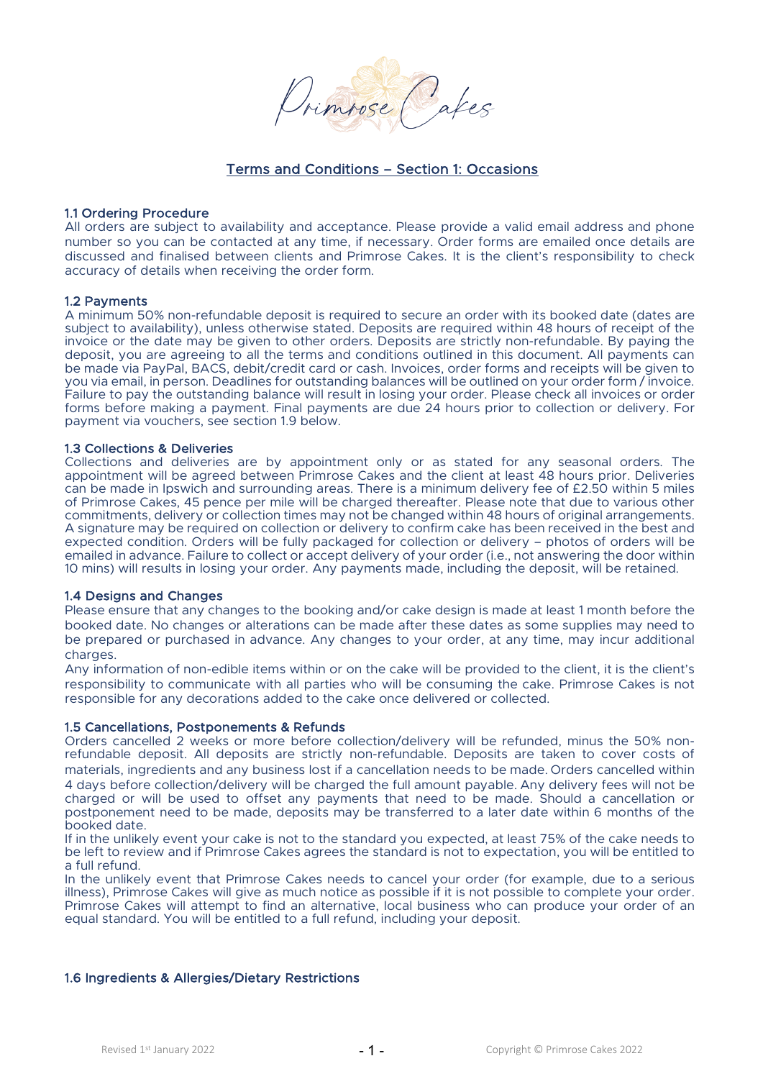

# Terms and Conditions – Section 1: Occasions

### 1.1 Ordering Procedure

All orders are subject to availability and acceptance. Please provide a valid email address and phone number so you can be contacted at any time, if necessary. Order forms are emailed once details are discussed and finalised between clients and Primrose Cakes. It is the client's responsibility to check accuracy of details when receiving the order form.

#### 1.2 Payments

A minimum 50% non-refundable deposit is required to secure an order with its booked date (dates are subject to availability), unless otherwise stated. Deposits are required within 48 hours of receipt of the invoice or the date may be given to other orders. Deposits are strictly non-refundable. By paying the deposit, you are agreeing to all the terms and conditions outlined in this document. All payments can be made via PayPal, BACS, debit/credit card or cash. Invoices, order forms and receipts will be given to you via email, in person. Deadlines for outstanding balances will be outlined on your order form / invoice. Failure to pay the outstanding balance will result in losing your order. Please check all invoices or order forms before making a payment. Final payments are due 24 hours prior to collection or delivery. For payment via vouchers, see section 1.9 below.

#### 1.3 Collections & Deliveries

Collections and deliveries are by appointment only or as stated for any seasonal orders. The appointment will be agreed between Primrose Cakes and the client at least 48 hours prior. Deliveries can be made in Ipswich and surrounding areas. There is a minimum delivery fee of £2.50 within 5 miles of Primrose Cakes, 45 pence per mile will be charged thereafter. Please note that due to various other commitments, delivery or collection times may not be changed within 48 hours of original arrangements. A signature may be required on collection or delivery to confirm cake has been received in the best and expected condition. Orders will be fully packaged for collection or delivery – photos of orders will be emailed in advance. Failure to collect or accept delivery of your order (i.e., not answering the door within 10 mins) will results in losing your order. Any payments made, including the deposit, will be retained.

### 1.4 Designs and Changes

Please ensure that any changes to the booking and/or cake design is made at least 1 month before the booked date. No changes or alterations can be made after these dates as some supplies may need to be prepared or purchased in advance. Any changes to your order, at any time, may incur additional charges.

Any information of non-edible items within or on the cake will be provided to the client, it is the client's responsibility to communicate with all parties who will be consuming the cake. Primrose Cakes is not responsible for any decorations added to the cake once delivered or collected.

### 1.5 Cancellations, Postponements & Refunds

Orders cancelled 2 weeks or more before collection/delivery will be refunded, minus the 50% nonrefundable deposit. All deposits are strictly non-refundable. Deposits are taken to cover costs of materials, ingredients and any business lost if a cancellation needs to be made. Orders cancelled within 4 days before collection/delivery will be charged the full amount payable. Any delivery fees will not be charged or will be used to offset any payments that need to be made. Should a cancellation or postponement need to be made, deposits may be transferred to a later date within 6 months of the booked date.

If in the unlikely event your cake is not to the standard you expected, at least 75% of the cake needs to be left to review and if Primrose Cakes agrees the standard is not to expectation, you will be entitled to a full refund.

In the unlikely event that Primrose Cakes needs to cancel your order (for example, due to a serious illness), Primrose Cakes will give as much notice as possible if it is not possible to complete your order. Primrose Cakes will attempt to find an alternative, local business who can produce your order of an equal standard. You will be entitled to a full refund, including your deposit.

### 1.6 Ingredients & Allergies/Dietary Restrictions